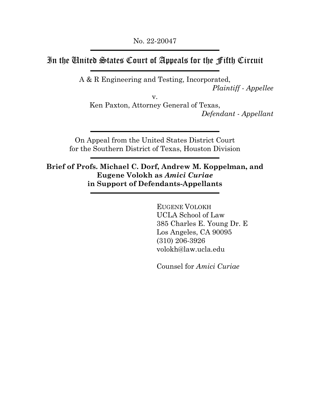# In the United States Court of Appeals for the Fifth Circuit

A & R Engineering and Testing, Incorporated, *Plaintiff - Appellee*

v. Ken Paxton, Attorney General of Texas, *Defendant - Appellant*

On Appeal from the United States District Court for the Southern District of Texas, Houston Division

**Brief of Profs. Michael C. Dorf, Andrew M. Koppelman, and Eugene Volokh as** *Amici Curiae* **in Support of Defendants-Appellants** 

> EUGENE VOLOKH UCLA School of Law 385 Charles E. Young Dr. E Los Angeles, CA 90095 (310) 206-3926 volokh@law.ucla.edu

Counsel for *Amici Curiae*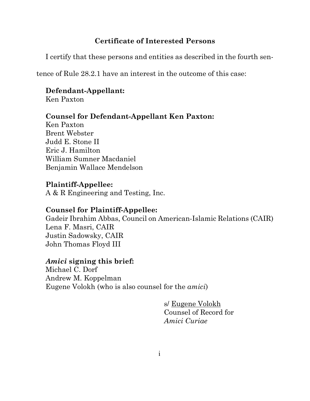### **Certificate of Interested Persons**

<span id="page-1-0"></span>I certify that these persons and entities as described in the fourth sen-

tence of Rule 28.2.1 have an interest in the outcome of this case:

# **Defendant-Appellant:**

Ken Paxton

# **Counsel for Defendant-Appellant Ken Paxton:**

Ken Paxton Brent Webster Judd E. Stone II Eric J. Hamilton William Sumner Macdaniel Benjamin Wallace Mendelson

### **Plaintiff-Appellee:**

A & R Engineering and Testing, Inc.

# **Counsel for Plaintiff-Appellee:**

Gadeir Ibrahim Abbas, Council on American-Islamic Relations (CAIR) Lena F. Masri, CAIR Justin Sadowsky, CAIR John Thomas Floyd III

# *Amici* **signing this brief:**

Michael C. Dorf Andrew M. Koppelman Eugene Volokh (who is also counsel for the *amici*)

> s/ Eugene Volokh Counsel of Record for *Amici Curiae*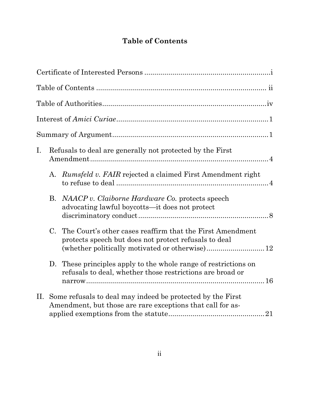# **Table of Contents**

<span id="page-2-0"></span>

| $I_{\cdot}$ |           | Refusals to deal are generally not protected by the First                                                                                                             |
|-------------|-----------|-----------------------------------------------------------------------------------------------------------------------------------------------------------------------|
|             |           | A. Rumsfeld v. FAIR rejected a claimed First Amendment right                                                                                                          |
|             | <b>B.</b> | NAACP v. Claiborne Hardware Co. protects speech<br>advocating lawful boycotts—it does not protect                                                                     |
|             | C.        | The Court's other cases reaffirm that the First Amendment<br>protects speech but does not protect refusals to deal<br>(whether politically motivated or otherwise) 12 |
|             | D.        | These principles apply to the whole range of restrictions on<br>refusals to deal, whether those restrictions are broad or                                             |
|             |           | II. Some refusals to deal may indeed be protected by the First<br>Amendment, but those are rare exceptions that call for as-                                          |
|             |           |                                                                                                                                                                       |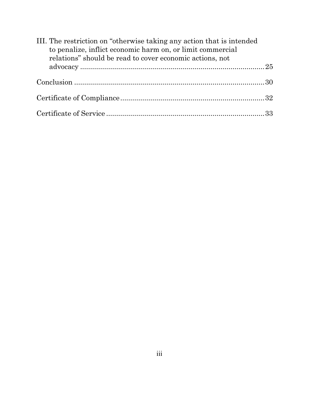| III. The restriction on "otherwise taking any action that is intended<br>to penalize, inflict economic harm on, or limit commercial<br>relations" should be read to cover economic actions, not |  |
|-------------------------------------------------------------------------------------------------------------------------------------------------------------------------------------------------|--|
|                                                                                                                                                                                                 |  |
|                                                                                                                                                                                                 |  |
|                                                                                                                                                                                                 |  |
|                                                                                                                                                                                                 |  |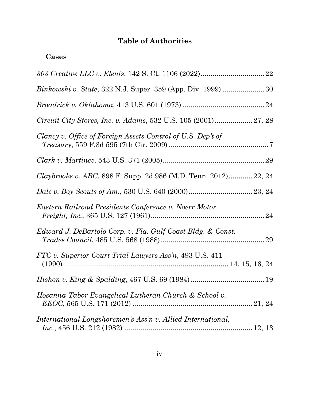# **Table of Authorities**

# <span id="page-4-0"></span>**Cases**

| <i>Binkowski v. State, 322 N.J. Super. 359 (App. Div. 1999) </i> 30 |
|---------------------------------------------------------------------|
|                                                                     |
| Circuit City Stores, Inc. v. Adams, 532 U.S. 105 (2001) 27, 28      |
| Clancy v. Office of Foreign Assets Control of U.S. Dep't of         |
|                                                                     |
| Claybrooks v. ABC, 898 F. Supp. 2d 986 (M.D. Tenn. 2012) 22, 24     |
|                                                                     |
| Eastern Railroad Presidents Conference v. Noerr Motor               |
| Edward J. DeBartolo Corp. v. Fla. Gulf Coast Bldg. & Const.         |
| FTC v. Superior Court Trial Lawyers Ass'n, 493 U.S. 411             |
|                                                                     |
| Hosanna-Tabor Evangelical Lutheran Church & School v.               |
| International Longshoremen's Ass'n v. Allied International,         |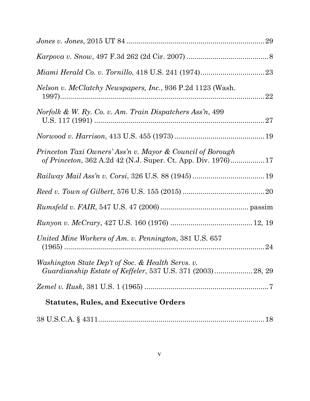| Nelson v. McClatchy Newspapers, Inc., 936 P.2d 1123 (Wash.                                                                 |  |
|----------------------------------------------------------------------------------------------------------------------------|--|
| Norfolk & W. Ry. Co. v. Am. Train Dispatchers Ass'n, 499                                                                   |  |
|                                                                                                                            |  |
| Princeton Taxi Owners' Ass'n v. Mayor & Council of Borough<br>of Princeton, 362 A.2d 42 (N.J. Super. Ct. App. Div. 1976)17 |  |
|                                                                                                                            |  |
|                                                                                                                            |  |
|                                                                                                                            |  |
|                                                                                                                            |  |
| United Mine Workers of Am. v. Pennington, 381 U.S. 657                                                                     |  |
| Washington State Dep't of Soc. & Health Servs. v.<br><i>Guardianship Estate of Keffeler, 537 U.S. 371 (2003) </i> 28, 29   |  |
|                                                                                                                            |  |
| <b>Statutes, Rules, and Executive Orders</b>                                                                               |  |
|                                                                                                                            |  |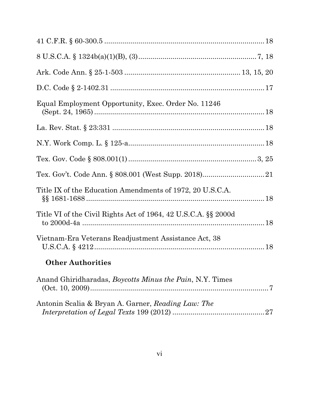| Equal Employment Opportunity, Exec. Order No. 11246              |  |
|------------------------------------------------------------------|--|
|                                                                  |  |
|                                                                  |  |
|                                                                  |  |
|                                                                  |  |
| Title IX of the Education Amendments of 1972, 20 U.S.C.A.        |  |
| Title VI of the Civil Rights Act of 1964, 42 U.S.C.A. §§ 2000d   |  |
| Vietnam-Era Veterans Readjustment Assistance Act, 38             |  |
| <b>Other Authorities</b>                                         |  |
| Anand Ghiridharadas, <i>Boycotts Minus the Pain</i> , N.Y. Times |  |
| Antonin Scalia & Bryan A. Garner, Reading Law: The               |  |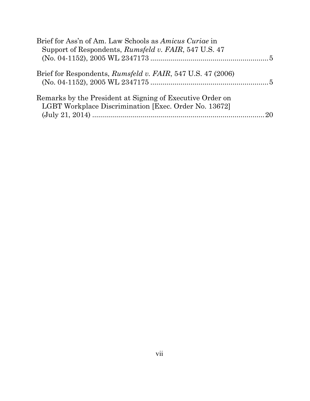| Brief for Ass'n of Am. Law Schools as Amicus Curiae in<br>Support of Respondents, <i>Rumsfeld v. FAIR</i> , 547 U.S. 47 |  |
|-------------------------------------------------------------------------------------------------------------------------|--|
|                                                                                                                         |  |
| Brief for Respondents, <i>Rumsfeld v. FAIR</i> , 547 U.S. 47 (2006)                                                     |  |
| Remarks by the President at Signing of Executive Order on<br>LGBT Workplace Discrimination [Exec. Order No. 13672]      |  |
|                                                                                                                         |  |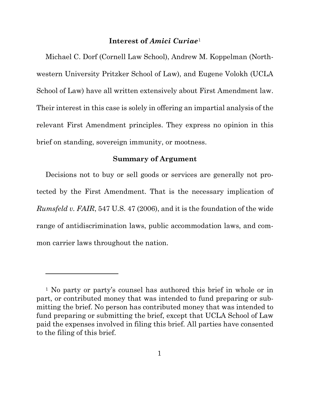#### **Interest of** *Amici Curiae*[1](#page-8-2)

<span id="page-8-0"></span>Michael C. Dorf (Cornell Law School), Andrew M. Koppelman (Northwestern University Pritzker School of Law), and Eugene Volokh (UCLA School of Law) have all written extensively about First Amendment law. Their interest in this case is solely in offering an impartial analysis of the relevant First Amendment principles. They express no opinion in this brief on standing, sovereign immunity, or mootness.

#### **Summary of Argument**

<span id="page-8-1"></span>Decisions not to buy or sell goods or services are generally not protected by the First Amendment. That is the necessary implication of *Rumsfeld v. FAIR*, 547 U.S. 47 (2006), and it is the foundation of the wide range of antidiscrimination laws, public accommodation laws, and common carrier laws throughout the nation.

<span id="page-8-2"></span><sup>&</sup>lt;sup>1</sup> No party or party's counsel has authored this brief in whole or in part, or contributed money that was intended to fund preparing or submitting the brief. No person has contributed money that was intended to fund preparing or submitting the brief, except that UCLA School of Law paid the expenses involved in filing this brief. All parties have consented to the filing of this brief.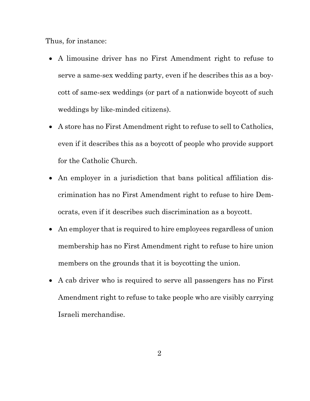Thus, for instance:

- A limousine driver has no First Amendment right to refuse to serve a same-sex wedding party, even if he describes this as a boycott of same-sex weddings (or part of a nationwide boycott of such weddings by like-minded citizens).
- A store has no First Amendment right to refuse to sell to Catholics, even if it describes this as a boycott of people who provide support for the Catholic Church.
- An employer in a jurisdiction that bans political affiliation discrimination has no First Amendment right to refuse to hire Democrats, even if it describes such discrimination as a boycott.
- An employer that is required to hire employees regardless of union membership has no First Amendment right to refuse to hire union members on the grounds that it is boycotting the union.
- A cab driver who is required to serve all passengers has no First Amendment right to refuse to take people who are visibly carrying Israeli merchandise.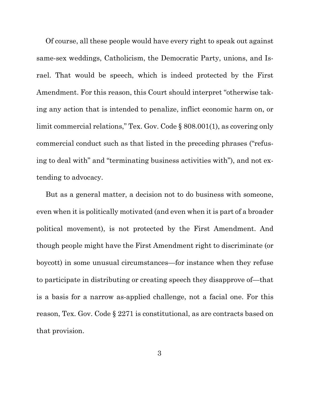Of course, all these people would have every right to speak out against same-sex weddings, Catholicism, the Democratic Party, unions, and Israel. That would be speech, which is indeed protected by the First Amendment. For this reason, this Court should interpret "otherwise taking any action that is intended to penalize, inflict economic harm on, or limit commercial relations," Tex. Gov. Code § 808.001(1), as covering only commercial conduct such as that listed in the preceding phrases ("refusing to deal with" and "terminating business activities with"), and not extending to advocacy.

But as a general matter, a decision not to do business with someone, even when it is politically motivated (and even when it is part of a broader political movement), is not protected by the First Amendment. And though people might have the First Amendment right to discriminate (or boycott) in some unusual circumstances—for instance when they refuse to participate in distributing or creating speech they disapprove of—that is a basis for a narrow as-applied challenge, not a facial one. For this reason, Tex. Gov. Code § 2271 is constitutional, as are contracts based on that provision.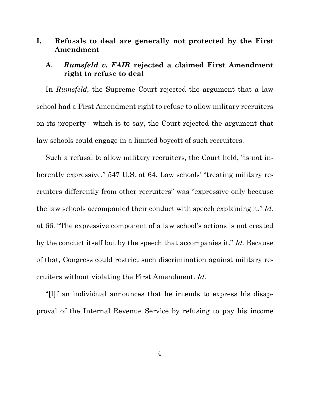#### <span id="page-11-0"></span>**I. Refusals to deal are generally not protected by the First Amendment**

#### <span id="page-11-1"></span>**A.** *Rumsfeld v. FAIR* **rejected a claimed First Amendment right to refuse to deal**

In *Rumsfeld*, the Supreme Court rejected the argument that a law school had a First Amendment right to refuse to allow military recruiters on its property—which is to say, the Court rejected the argument that law schools could engage in a limited boycott of such recruiters.

Such a refusal to allow military recruiters, the Court held, "is not inherently expressive." 547 U.S. at 64. Law schools' "treating military recruiters differently from other recruiters" was "expressive only because the law schools accompanied their conduct with speech explaining it." *Id.*  at 66. "The expressive component of a law school's actions is not created by the conduct itself but by the speech that accompanies it." *Id.* Because of that, Congress could restrict such discrimination against military recruiters without violating the First Amendment. *Id.* 

"[I]f an individual announces that he intends to express his disapproval of the Internal Revenue Service by refusing to pay his income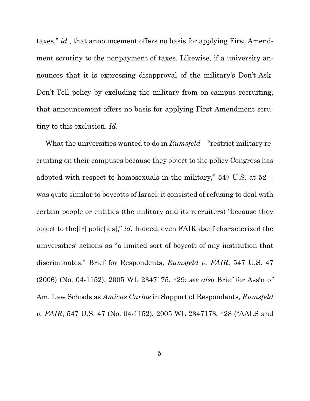taxes," *id.*, that announcement offers no basis for applying First Amendment scrutiny to the nonpayment of taxes. Likewise, if a university announces that it is expressing disapproval of the military's Don't-Ask-Don't-Tell policy by excluding the military from on-campus recruiting, that announcement offers no basis for applying First Amendment scrutiny to this exclusion. *Id.*

What the universities wanted to do in *Rumsfeld*—"restrict military recruiting on their campuses because they object to the policy Congress has adopted with respect to homosexuals in the military," 547 U.S. at 52 was quite similar to boycotts of Israel: it consisted of refusing to deal with certain people or entities (the military and its recruiters) "because they object to the[ir] polic[ies]," *id.* Indeed, even FAIR itself characterized the universities' actions as "a limited sort of boycott of any institution that discriminates." Brief for Respondents, *Rumsfeld v. FAIR*, 547 U.S. 47 (2006) (No. 04-1152), 2005 WL 2347175, \*29; *see also* Brief for Ass'n of Am. Law Schools as *Amicus Curiae* in Support of Respondents, *Rumsfeld v. FAIR*, 547 U.S. 47 (No. 04-1152), 2005 WL 2347173, \*28 ("AALS and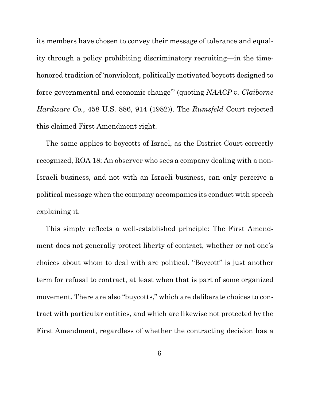its members have chosen to convey their message of tolerance and equality through a policy prohibiting discriminatory recruiting—in the timehonored tradition of 'nonviolent, politically motivated boycott designed to force governmental and economic change'" (quoting *NAACP v. Claiborne Hardware Co.*, 458 U.S. 886, 914 (1982)). The *Rumsfeld* Court rejected this claimed First Amendment right.

The same applies to boycotts of Israel, as the District Court correctly recognized, ROA 18: An observer who sees a company dealing with a non-Israeli business, and not with an Israeli business, can only perceive a political message when the company accompanies its conduct with speech explaining it.

This simply reflects a well-established principle: The First Amendment does not generally protect liberty of contract, whether or not one's choices about whom to deal with are political. "Boycott" is just another term for refusal to contract, at least when that is part of some organized movement. There are also "buycotts," which are deliberate choices to contract with particular entities, and which are likewise not protected by the First Amendment, regardless of whether the contracting decision has a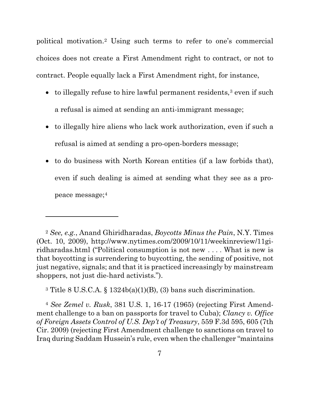political motivation.[2](#page-14-0) Using such terms to refer to one's commercial choices does not create a First Amendment right to contract, or not to contract. People equally lack a First Amendment right, for instance,

- $\bullet$  to illegally refuse to hire lawful permanent residents,<sup>[3](#page-14-1)</sup> even if such a refusal is aimed at sending an anti-immigrant message;
- to illegally hire aliens who lack work authorization, even if such a refusal is aimed at sending a pro-open-borders message;
- to do business with North Korean entities (if a law forbids that), even if such dealing is aimed at sending what they see as a propeace message;[4](#page-14-2)

<span id="page-14-0"></span><sup>2</sup> *See, e.g.*, Anand Ghiridharadas, *Boycotts Minus the Pain*, N.Y. Times (Oct. 10, 2009), http://www.nytimes.com/2009/10/11/weekinreview/11giridharadas.html ("Political consumption is not new ․ . . . What is new is that boycotting is surrendering to buycotting, the sending of positive, not just negative, signals; and that it is practiced increasingly by mainstream shoppers, not just die-hard activists.").

<sup>3</sup> Title 8 U.S.C.A. § 1324b(a)(1)(B), (3) bans such discrimination.

<span id="page-14-2"></span><span id="page-14-1"></span><sup>4</sup> *See Zemel v. Rusk*, 381 U.S. 1, 16-17 (1965) (rejecting First Amendment challenge to a ban on passports for travel to Cuba); *Clancy v. Office of Foreign Assets Control of U.S. Dep't of Treasury*, 559 F.3d 595, 605 (7th Cir. 2009) (rejecting First Amendment challenge to sanctions on travel to Iraq during Saddam Hussein's rule, even when the challenger "maintains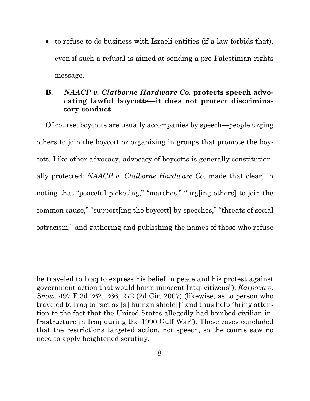• to refuse to do business with Israeli entities (if a law forbids that), even if such a refusal is aimed at sending a pro-Palestinian-rights message.

#### <span id="page-15-0"></span>**B.** *NAACP v. Claiborne Hardware Co.* **protects speech advocating lawful boycotts—it does not protect discriminatory conduct**

Of course, boycotts are usually accompanies by speech—people urging others to join the boycott or organizing in groups that promote the boycott. Like other advocacy, advocacy of boycotts is generally constitutionally protected: *NAACP v. Claiborne Hardware Co.* made that clear, in noting that "peaceful picketing," "marches," "urg[ing others] to join the common cause," "support[ing the boycott] by speeches," "threats of social ostracism," and gathering and publishing the names of those who refuse

he traveled to Iraq to express his belief in peace and his protest against government action that would harm innocent Iraqi citizens"); *Karpova v. Snow*, 497 F.3d 262, 266, 272 (2d Cir. 2007) (likewise, as to person who traveled to Iraq to "act as [a] human shield[]" and thus help "bring attention to the fact that the United States allegedly had bombed civilian infrastructure in Iraq during the 1990 Gulf War"). These cases concluded that the restrictions targeted action, not speech, so the courts saw no need to apply heightened scrutiny.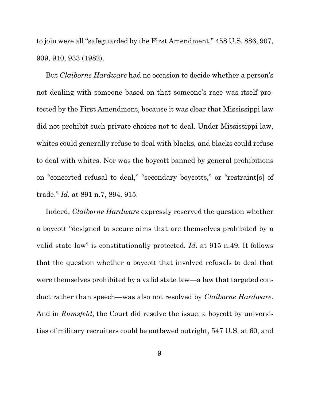to join were all "safeguarded by the First Amendment." 458 U.S. 886, 907, 909, 910, 933 (1982).

But *Claiborne Hardware* had no occasion to decide whether a person's not dealing with someone based on that someone's race was itself protected by the First Amendment, because it was clear that Mississippi law did not prohibit such private choices not to deal. Under Mississippi law, whites could generally refuse to deal with blacks, and blacks could refuse to deal with whites. Nor was the boycott banned by general prohibitions on "concerted refusal to deal," "secondary boycotts," or "restraint[s] of trade." *Id.* at 891 n.7, 894, 915.

Indeed, *Claiborne Hardware* expressly reserved the question whether a boycott "designed to secure aims that are themselves prohibited by a valid state law" is constitutionally protected. *Id.* at 915 n.49. It follows that the question whether a boycott that involved refusals to deal that were themselves prohibited by a valid state law—a law that targeted conduct rather than speech—was also not resolved by *Claiborne Hardware*. And in *Rumsfeld*, the Court did resolve the issue: a boycott by universities of military recruiters could be outlawed outright, 547 U.S. at 60, and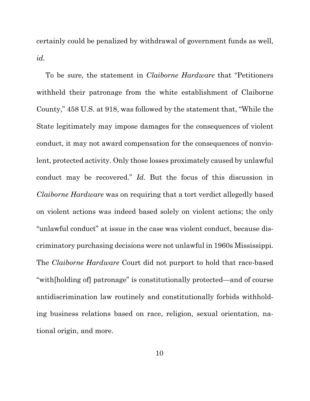certainly could be penalized by withdrawal of government funds as well, *id.*

To be sure, the statement in *Claiborne Hardware* that "Petitioners withheld their patronage from the white establishment of Claiborne County," 458 U.S. at 918, was followed by the statement that, "While the State legitimately may impose damages for the consequences of violent conduct, it may not award compensation for the consequences of nonviolent, protected activity. Only those losses proximately caused by unlawful conduct may be recovered." *Id.* But the focus of this discussion in *Claiborne Hardware* was on requiring that a tort verdict allegedly based on violent actions was indeed based solely on violent actions; the only "unlawful conduct" at issue in the case was violent conduct, because discriminatory purchasing decisions were not unlawful in 1960s Mississippi. The *Claiborne Hardware* Court did not purport to hold that race-based "with[holding of] patronage" is constitutionally protected—and of course antidiscrimination law routinely and constitutionally forbids withholding business relations based on race, religion, sexual orientation, national origin, and more.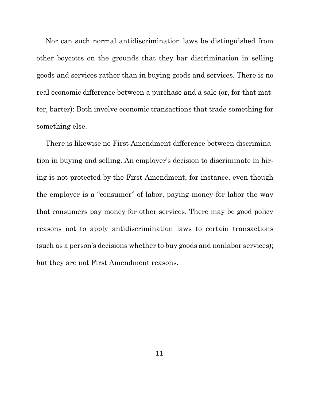Nor can such normal antidiscrimination laws be distinguished from other boycotts on the grounds that they bar discrimination in selling goods and services rather than in buying goods and services. There is no real economic difference between a purchase and a sale (or, for that matter, barter): Both involve economic transactions that trade something for something else.

There is likewise no First Amendment difference between discrimination in buying and selling. An employer's decision to discriminate in hiring is not protected by the First Amendment, for instance, even though the employer is a "consumer" of labor, paying money for labor the way that consumers pay money for other services. There may be good policy reasons not to apply antidiscrimination laws to certain transactions (such as a person's decisions whether to buy goods and nonlabor services); but they are not First Amendment reasons.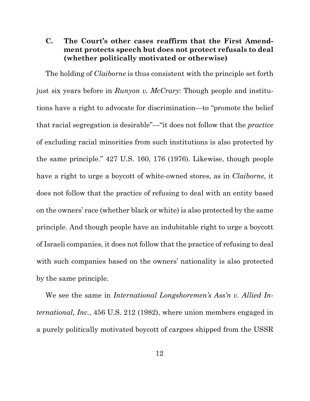#### <span id="page-19-0"></span>**C. The Court's other cases reaffirm that the First Amendment protects speech but does not protect refusals to deal (whether politically motivated or otherwise)**

The holding of *Claiborne* is thus consistent with the principle set forth just six years before in *Runyon v. McCrary*: Though people and institutions have a right to advocate for discrimination—to "promote the belief that racial segregation is desirable"—"it does not follow that the *practice*  of excluding racial minorities from such institutions is also protected by the same principle." 427 U.S. 160, 176 (1976). Likewise, though people have a right to urge a boycott of white-owned stores, as in *Claiborne*, it does not follow that the practice of refusing to deal with an entity based on the owners' race (whether black or white) is also protected by the same principle. And though people have an indubitable right to urge a boycott of Israeli companies, it does not follow that the practice of refusing to deal with such companies based on the owners' nationality is also protected by the same principle.

We see the same in *International Longshoremen's Ass'n v. Allied International, Inc.*, 456 U.S. 212 (1982), where union members engaged in a purely politically motivated boycott of cargoes shipped from the USSR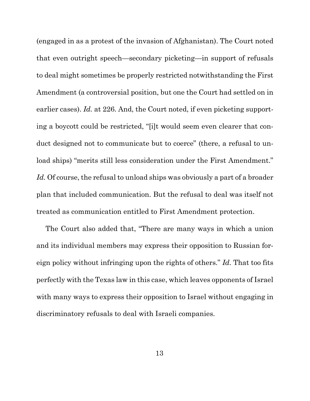(engaged in as a protest of the invasion of Afghanistan). The Court noted that even outright speech—secondary picketing—in support of refusals to deal might sometimes be properly restricted notwithstanding the First Amendment (a controversial position, but one the Court had settled on in earlier cases). *Id.* at 226. And, the Court noted, if even picketing supporting a boycott could be restricted, "[i]t would seem even clearer that conduct designed not to communicate but to coerce" (there, a refusal to unload ships) "merits still less consideration under the First Amendment." *Id.* Of course, the refusal to unload ships was obviously a part of a broader plan that included communication. But the refusal to deal was itself not treated as communication entitled to First Amendment protection.

The Court also added that, "There are many ways in which a union and its individual members may express their opposition to Russian foreign policy without infringing upon the rights of others." *Id.* That too fits perfectly with the Texas law in this case, which leaves opponents of Israel with many ways to express their opposition to Israel without engaging in discriminatory refusals to deal with Israeli companies.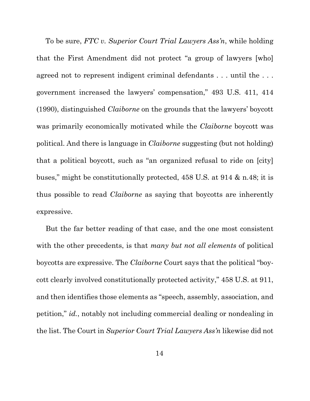To be sure, *FTC v. Superior Court Trial Lawyers Ass'n*, while holding that the First Amendment did not protect "a group of lawyers [who] agreed not to represent indigent criminal defendants . . . until the . . . government increased the lawyers' compensation," 493 U.S. 411, 414 (1990), distinguished *Claiborne* on the grounds that the lawyers' boycott was primarily economically motivated while the *Claiborne* boycott was political. And there is language in *Claiborne* suggesting (but not holding) that a political boycott, such as "an organized refusal to ride on [city] buses," might be constitutionally protected, 458 U.S. at 914 & n.48; it is thus possible to read *Claiborne* as saying that boycotts are inherently expressive.

But the far better reading of that case, and the one most consistent with the other precedents, is that *many but not all elements* of political boycotts are expressive. The *Claiborne* Court says that the political "boycott clearly involved constitutionally protected activity," 458 U.S. at 911, and then identifies those elements as "speech, assembly, association, and petition," *id.*, notably not including commercial dealing or nondealing in the list. The Court in *Superior Court Trial Lawyers Ass'n* likewise did not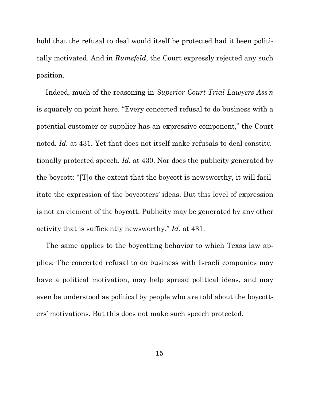hold that the refusal to deal would itself be protected had it been politically motivated. And in *Rumsfeld*, the Court expressly rejected any such position.

Indeed, much of the reasoning in *Superior Court Trial Lawyers Ass'n* is squarely on point here. "Every concerted refusal to do business with a potential customer or supplier has an expressive component," the Court noted. *Id.* at 431. Yet that does not itself make refusals to deal constitutionally protected speech. *Id.* at 430. Nor does the publicity generated by the boycott: "[T]o the extent that the boycott is newsworthy, it will facilitate the expression of the boycotters' ideas. But this level of expression is not an element of the boycott. Publicity may be generated by any other activity that is sufficiently newsworthy." *Id.* at 431.

The same applies to the boycotting behavior to which Texas law applies: The concerted refusal to do business with Israeli companies may have a political motivation, may help spread political ideas, and may even be understood as political by people who are told about the boycotters' motivations. But this does not make such speech protected.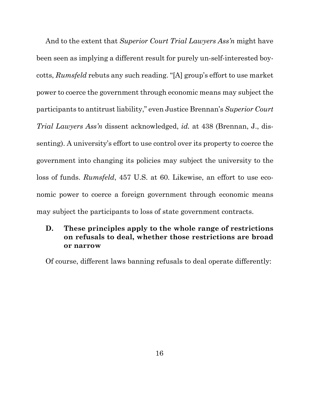And to the extent that *Superior Court Trial Lawyers Ass'n* might have been seen as implying a different result for purely un-self-interested boycotts, *Rumsfeld* rebuts any such reading. "[A] group's effort to use market power to coerce the government through economic means may subject the participants to antitrust liability," even Justice Brennan's *Superior Court Trial Lawyers Ass'n* dissent acknowledged, *id.* at 438 (Brennan, J., dissenting). A university's effort to use control over its property to coerce the government into changing its policies may subject the university to the loss of funds. *Rumsfeld*, 457 U.S. at 60. Likewise, an effort to use economic power to coerce a foreign government through economic means may subject the participants to loss of state government contracts.

#### <span id="page-23-0"></span>**D. These principles apply to the whole range of restrictions on refusals to deal, whether those restrictions are broad or narrow**

Of course, different laws banning refusals to deal operate differently: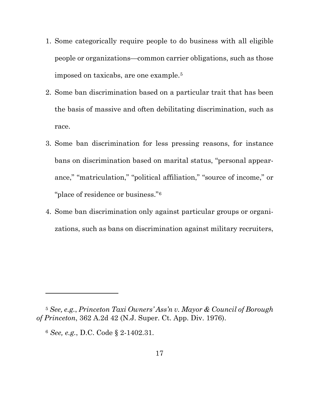- 1. Some categorically require people to do business with all eligible people or organizations—common carrier obligations, such as those imposed on taxicabs, are one example.[5](#page-24-0)
- 2. Some ban discrimination based on a particular trait that has been the basis of massive and often debilitating discrimination, such as race.
- 3. Some ban discrimination for less pressing reasons, for instance bans on discrimination based on marital status, "personal appearance," "matriculation," "political affiliation," "source of income," or "place of residence or business."[6](#page-24-1)
- 4. Some ban discrimination only against particular groups or organizations, such as bans on discrimination against military recruiters,

<span id="page-24-1"></span><span id="page-24-0"></span><sup>5</sup> *See, e.g.*, *Princeton Taxi Owners' Ass'n v. Mayor & Council of Borough of Princeton*, 362 A.2d 42 (N.J. Super. Ct. App. Div. 1976).

<sup>6</sup> *See, e.g.*, D.C. Code § 2-1402.31.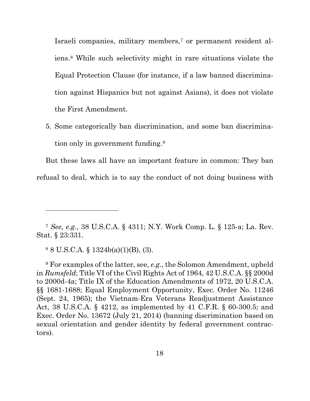Israeli companies, military members,<sup>[7](#page-25-0)</sup> or permanent resident aliens.[8](#page-25-1) While such selectivity might in rare situations violate the Equal Protection Clause (for instance, if a law banned discrimination against Hispanics but not against Asians), it does not violate the First Amendment.

5. Some categorically ban discrimination, and some ban discrimination only in government funding.[9](#page-25-2)

But these laws all have an important feature in common: They ban refusal to deal, which is to say the conduct of not doing business with

<sup>8</sup> 8 U.S.C.A. § 1324b(a)(1)(B), (3).

<span id="page-25-2"></span><span id="page-25-1"></span><sup>9</sup> For examples of the latter, see, *e.g.*, the Solomon Amendment, upheld in *Rumsfeld*; Title VI of the Civil Rights Act of 1964, 42 U.S.C.A. §§ 2000d to 2000d-4a; Title IX of the Education Amendments of 1972, 20 U.S.C.A. §§ 1681-1688; Equal Employment Opportunity, Exec. Order No. 11246 (Sept. 24, 1965); the Vietnam-Era Veterans Readjustment Assistance Act, 38 U.S.C.A. § 4212, as implemented by 41 C.F.R. § 60-300.5; and Exec. Order No. 13672 (July 21, 2014) (banning discrimination based on sexual orientation and gender identity by federal government contractors).

<span id="page-25-0"></span><sup>7</sup> *See, e.g.*, 38 U.S.C.A. § 4311; N.Y. Work Comp. L. § 125-a; La. Rev. Stat. § 23:331.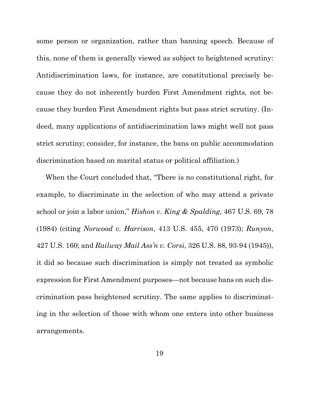some person or organization, rather than banning speech. Because of this, none of them is generally viewed as subject to heightened scrutiny: Antidiscrimination laws, for instance, are constitutional precisely because they do not inherently burden First Amendment rights, not because they burden First Amendment rights but pass strict scrutiny. (Indeed, many applications of antidiscrimination laws might well not pass strict scrutiny; consider, for instance, the bans on public accommodation discrimination based on marital status or political affiliation.)

When the Court concluded that, "There is no constitutional right, for example, to discriminate in the selection of who may attend a private school or join a labor union," *Hishon v. King & Spalding*, 467 U.S. 69, 78 (1984) (citing *Norwood v. Harrison*, 413 U.S. 455, 470 (1973); *Runyon*, 427 U.S. 160; and *Railway Mail Ass'n v. Corsi*, 326 U.S. 88, 93-94 (1945)), it did so because such discrimination is simply not treated as symbolic expression for First Amendment purposes—not because bans on such discrimination pass heightened scrutiny. The same applies to discriminating in the selection of those with whom one enters into other business arrangements.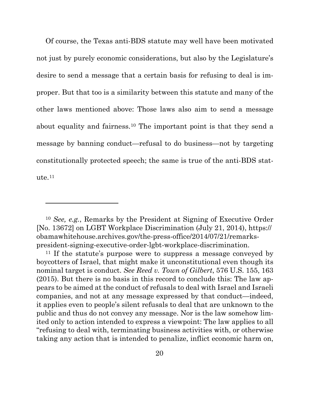Of course, the Texas anti-BDS statute may well have been motivated not just by purely economic considerations, but also by the Legislature's desire to send a message that a certain basis for refusing to deal is improper. But that too is a similarity between this statute and many of the other laws mentioned above: Those laws also aim to send a message about equality and fairness.[10](#page-27-0) The important point is that they send a message by banning conduct—refusal to do business—not by targeting constitutionally protected speech; the same is true of the anti-BDS statute.[11](#page-27-1)

<span id="page-27-0"></span><sup>10</sup> *See, e.g.*, Remarks by the President at Signing of Executive Order [No. 13672] on LGBT Workplace Discrimination (July 21, 2014), https:// obamawhitehouse.archives.gov/the-press-office/2014/07/21/remarkspresident-signing-executive-order-lgbt-workplace-discrimination.

<span id="page-27-1"></span><sup>&</sup>lt;sup>11</sup> If the statute's purpose were to suppress a message conveyed by boycotters of Israel, that might make it unconstitutional even though its nominal target is conduct. *See Reed v. Town of Gilbert*, 576 U.S. 155, 163 (2015). But there is no basis in this record to conclude this: The law appears to be aimed at the conduct of refusals to deal with Israel and Israeli companies, and not at any message expressed by that conduct—indeed, it applies even to people's silent refusals to deal that are unknown to the public and thus do not convey any message. Nor is the law somehow limited only to action intended to express a viewpoint: The law applies to all "refusing to deal with, terminating business activities with, or otherwise taking any action that is intended to penalize, inflict economic harm on,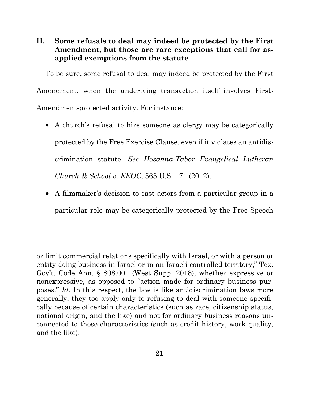#### <span id="page-28-0"></span>**II. Some refusals to deal may indeed be protected by the First Amendment, but those are rare exceptions that call for asapplied exemptions from the statute**

To be sure, some refusal to deal may indeed be protected by the First Amendment, when the underlying transaction itself involves First-Amendment-protected activity. For instance:

- A church's refusal to hire someone as clergy may be categorically protected by the Free Exercise Clause, even if it violates an antidiscrimination statute. *See Hosanna-Tabor Evangelical Lutheran Church & School v. EEOC*, 565 U.S. 171 (2012).
- A filmmaker's decision to cast actors from a particular group in a particular role may be categorically protected by the Free Speech

or limit commercial relations specifically with Israel, or with a person or entity doing business in Israel or in an Israeli-controlled territory," Tex. Gov't. Code Ann. § 808.001 (West Supp. 2018), whether expressive or nonexpressive, as opposed to "action made for ordinary business purposes." *Id.* In this respect, the law is like antidiscrimination laws more generally; they too apply only to refusing to deal with someone specifically because of certain characteristics (such as race, citizenship status, national origin, and the like) and not for ordinary business reasons unconnected to those characteristics (such as credit history, work quality, and the like).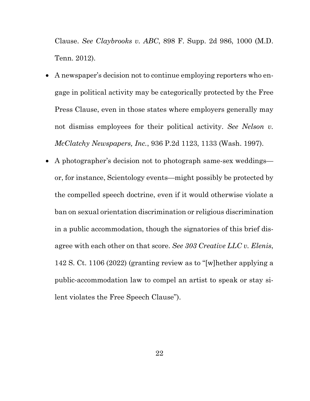Clause. *See Claybrooks v. ABC*, 898 F. Supp. 2d 986, 1000 (M.D. Tenn. 2012).

- A newspaper's decision not to continue employing reporters who engage in political activity may be categorically protected by the Free Press Clause, even in those states where employers generally may not dismiss employees for their political activity. *See Nelson v. McClatchy Newspapers, Inc.*, 936 P.2d 1123, 1133 (Wash. 1997).
- A photographer's decision not to photograph same-sex weddings or, for instance, Scientology events—might possibly be protected by the compelled speech doctrine, even if it would otherwise violate a ban on sexual orientation discrimination or religious discrimination in a public accommodation, though the signatories of this brief disagree with each other on that score. *See 303 Creative LLC v. Elenis*, 142 S. Ct. 1106 (2022) (granting review as to "[w]hether applying a public-accommodation law to compel an artist to speak or stay silent violates the Free Speech Clause").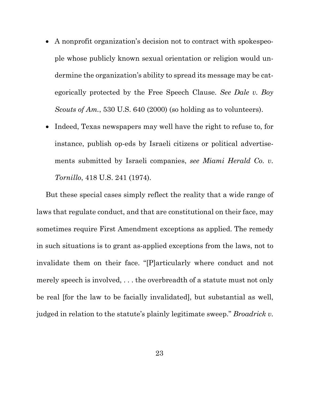- A nonprofit organization's decision not to contract with spokespeople whose publicly known sexual orientation or religion would undermine the organization's ability to spread its message may be categorically protected by the Free Speech Clause. *See Dale v. Boy Scouts of Am.*, 530 U.S. 640 (2000) (so holding as to volunteers).
- Indeed, Texas newspapers may well have the right to refuse to, for instance, publish op-eds by Israeli citizens or political advertisements submitted by Israeli companies, *see Miami Herald Co. v. Tornillo*, 418 U.S. 241 (1974).

But these special cases simply reflect the reality that a wide range of laws that regulate conduct, and that are constitutional on their face, may sometimes require First Amendment exceptions as applied. The remedy in such situations is to grant as-applied exceptions from the laws, not to invalidate them on their face. "[P]articularly where conduct and not merely speech is involved, . . . the overbreadth of a statute must not only be real [for the law to be facially invalidated], but substantial as well, judged in relation to the statute's plainly legitimate sweep." *Broadrick v.*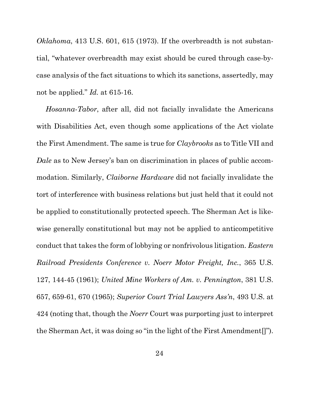*Oklahoma*, 413 U.S. 601, 615 (1973). If the overbreadth is not substantial, "whatever overbreadth may exist should be cured through case-bycase analysis of the fact situations to which its sanctions, assertedly, may not be applied." *Id.* at 615-16.

*Hosanna-Tabor*, after all, did not facially invalidate the Americans with Disabilities Act, even though some applications of the Act violate the First Amendment. The same is true for *Claybrooks* as to Title VII and *Dale* as to New Jersey's ban on discrimination in places of public accommodation. Similarly, *Claiborne Hardware* did not facially invalidate the tort of interference with business relations but just held that it could not be applied to constitutionally protected speech. The Sherman Act is likewise generally constitutional but may not be applied to anticompetitive conduct that takes the form of lobbying or nonfrivolous litigation. *Eastern Railroad Presidents Conference v. Noerr Motor Freight, Inc.*, 365 U.S. 127, 144-45 (1961); *United Mine Workers of Am. v. Pennington*, 381 U.S. 657, 659-61, 670 (1965); *Superior Court Trial Lawyers Ass'n*, 493 U.S. at 424 (noting that, though the *Noerr* Court was purporting just to interpret the Sherman Act, it was doing so "in the light of the First Amendment[]").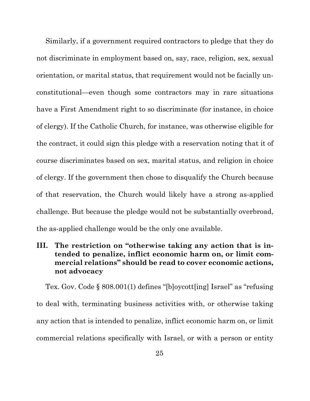Similarly, if a government required contractors to pledge that they do not discriminate in employment based on, say, race, religion, sex, sexual orientation, or marital status, that requirement would not be facially unconstitutional—even though some contractors may in rare situations have a First Amendment right to so discriminate (for instance, in choice of clergy). If the Catholic Church, for instance, was otherwise eligible for the contract, it could sign this pledge with a reservation noting that it of course discriminates based on sex, marital status, and religion in choice of clergy. If the government then chose to disqualify the Church because of that reservation, the Church would likely have a strong as-applied challenge. But because the pledge would not be substantially overbroad, the as-applied challenge would be the only one available.

#### <span id="page-32-0"></span>**III. The restriction on "otherwise taking any action that is intended to penalize, inflict economic harm on, or limit commercial relations" should be read to cover economic actions, not advocacy**

Tex. Gov. Code § 808.001(1) defines "[b]oycott[ing] Israel" as "refusing to deal with, terminating business activities with, or otherwise taking any action that is intended to penalize, inflict economic harm on, or limit commercial relations specifically with Israel, or with a person or entity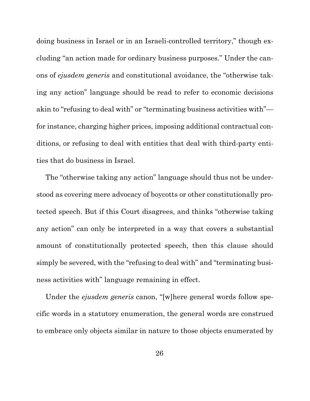doing business in Israel or in an Israeli-controlled territory," though excluding "an action made for ordinary business purposes." Under the canons of *ejusdem generis* and constitutional avoidance, the "otherwise taking any action" language should be read to refer to economic decisions akin to "refusing to deal with" or "terminating business activities with" for instance, charging higher prices, imposing additional contractual conditions, or refusing to deal with entities that deal with third-party entities that do business in Israel.

The "otherwise taking any action" language should thus not be understood as covering mere advocacy of boycotts or other constitutionally protected speech. But if this Court disagrees, and thinks "otherwise taking any action" can only be interpreted in a way that covers a substantial amount of constitutionally protected speech, then this clause should simply be severed, with the "refusing to deal with" and "terminating business activities with" language remaining in effect.

Under the *ejusdem generis* canon, "[w]here general words follow specific words in a statutory enumeration, the general words are construed to embrace only objects similar in nature to those objects enumerated by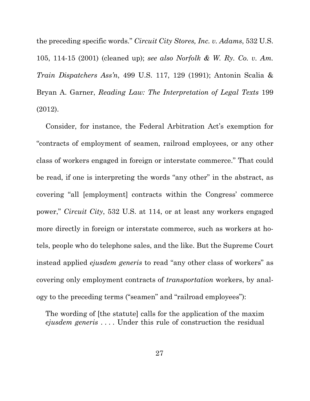the preceding specific words." *Circuit City Stores, Inc. v. Adams*, 532 U.S. 105, 114-15 (2001) (cleaned up); *see also Norfolk & W. Ry. Co. v. Am. Train Dispatchers Ass'n*, 499 U.S. 117, 129 (1991); Antonin Scalia & Bryan A. Garner, *Reading Law: The Interpretation of Legal Texts* 199 (2012).

Consider, for instance, the Federal Arbitration Act's exemption for "contracts of employment of seamen, railroad employees, or any other class of workers engaged in foreign or interstate commerce." That could be read, if one is interpreting the words "any other" in the abstract, as covering "all [employment] contracts within the Congress' commerce power," *Circuit City*, 532 U.S. at 114, or at least any workers engaged more directly in foreign or interstate commerce, such as workers at hotels, people who do telephone sales, and the like. But the Supreme Court instead applied *ejusdem generis* to read "any other class of workers" as covering only employment contracts of *transportation* workers, by analogy to the preceding terms ("seamen" and "railroad employees"):

The wording of [the statute] calls for the application of the maxim *ejusdem generis* . . . . Under this rule of construction the residual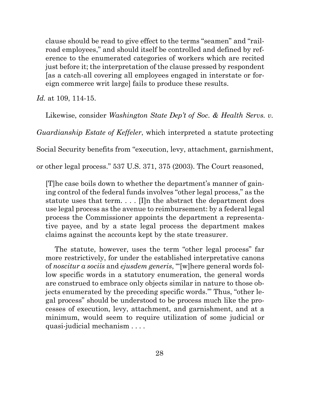clause should be read to give effect to the terms "seamen" and "railroad employees," and should itself be controlled and defined by reference to the enumerated categories of workers which are recited just before it; the interpretation of the clause pressed by respondent [as a catch-all covering all employees engaged in interstate or foreign commerce writ large] fails to produce these results.

*Id.* at 109, 114-15.

Likewise, consider *Washington State Dep't of Soc. & Health Servs. v.* 

*Guardianship Estate of Keffeler*, which interpreted a statute protecting

Social Security benefits from "execution, levy, attachment, garnishment,

or other legal process." 537 U.S. 371, 375 (2003). The Court reasoned,

[T]he case boils down to whether the department's manner of gaining control of the federal funds involves "other legal process," as the statute uses that term. . . . [I]n the abstract the department does use legal process as the avenue to reimbursement: by a federal legal process the Commissioner appoints the department a representative payee, and by a state legal process the department makes claims against the accounts kept by the state treasurer.

The statute, however, uses the term "other legal process" far more restrictively, for under the established interpretative canons of *noscitur a sociis* and *ejusdem generis*, "'[w]here general words follow specific words in a statutory enumeration, the general words are construed to embrace only objects similar in nature to those objects enumerated by the preceding specific words.'" Thus, "other legal process" should be understood to be process much like the processes of execution, levy, attachment, and garnishment, and at a minimum, would seem to require utilization of some judicial or quasi-judicial mechanism . . . .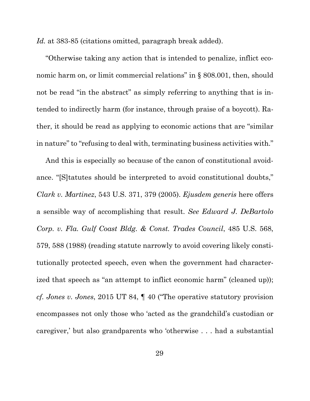*Id.* at 383-85 (citations omitted, paragraph break added).

"Otherwise taking any action that is intended to penalize, inflict economic harm on, or limit commercial relations" in § 808.001, then, should not be read "in the abstract" as simply referring to anything that is intended to indirectly harm (for instance, through praise of a boycott). Rather, it should be read as applying to economic actions that are "similar in nature" to "refusing to deal with, terminating business activities with."

And this is especially so because of the canon of constitutional avoidance. "[S]tatutes should be interpreted to avoid constitutional doubts," *Clark v. Martinez*, 543 U.S. 371, 379 (2005). *Ejusdem generis* here offers a sensible way of accomplishing that result. *See Edward J. DeBartolo Corp. v. Fla. Gulf Coast Bldg. & Const. Trades Council*, 485 U.S. 568, 579, 588 (1988) (reading statute narrowly to avoid covering likely constitutionally protected speech, even when the government had characterized that speech as "an attempt to inflict economic harm" (cleaned up)); *cf. Jones v. Jones*, 2015 UT 84, ¶ 40 ("The operative statutory provision encompasses not only those who 'acted as the grandchild's custodian or caregiver,' but also grandparents who 'otherwise . . . had a substantial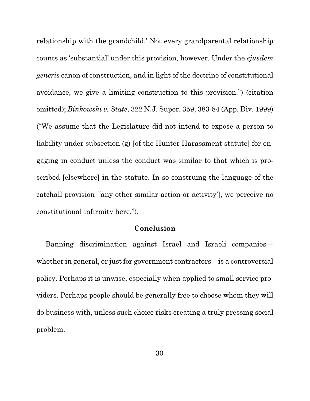relationship with the grandchild.' Not every grandparental relationship counts as 'substantial' under this provision, however. Under the *ejusdem generis* canon of construction, and in light of the doctrine of constitutional avoidance, we give a limiting construction to this provision.") (citation omitted); *Binkowski v. State*, 322 N.J. Super. 359, 383-84 (App. Div. 1999) ("We assume that the Legislature did not intend to expose a person to liability under subsection (g) [of the Hunter Harassment statute] for engaging in conduct unless the conduct was similar to that which is proscribed [elsewhere] in the statute. In so construing the language of the catchall provision ['any other similar action or activity'], we perceive no constitutional infirmity here.").

#### **Conclusion**

<span id="page-37-0"></span>Banning discrimination against Israel and Israeli companies whether in general, or just for government contractors—is a controversial policy. Perhaps it is unwise, especially when applied to small service providers. Perhaps people should be generally free to choose whom they will do business with, unless such choice risks creating a truly pressing social problem.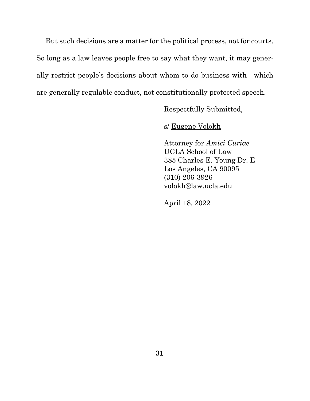But such decisions are a matter for the political process, not for courts. So long as a law leaves people free to say what they want, it may generally restrict people's decisions about whom to do business with—which are generally regulable conduct, not constitutionally protected speech.

Respectfully Submitted,

s/ Eugene Volokh

Attorney for *Amici Curiae* UCLA School of Law 385 Charles E. Young Dr. E Los Angeles, CA 90095 (310) 206-3926 volokh@law.ucla.edu

April 18, 2022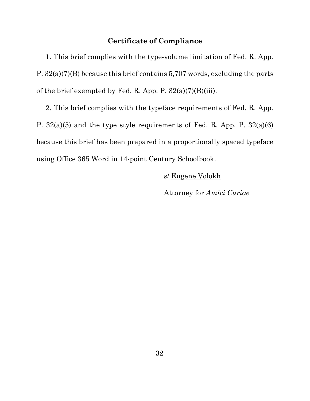#### **Certificate of Compliance**

<span id="page-39-0"></span>1. This brief complies with the type-volume limitation of [Fed. R. App.](https://a.next.westlaw.com/Link/Document/FullText?findType=L&pubNum=1000599&cite=USFRAPR32&originationContext=document&transitionType=DocumentItem&contextData=%28sc.DocLink%29#co_pp_70ee0000c9cb6)  [P. 32\(a\)\(7\)\(B\)](https://a.next.westlaw.com/Link/Document/FullText?findType=L&pubNum=1000599&cite=USFRAPR32&originationContext=document&transitionType=DocumentItem&contextData=%28sc.DocLink%29#co_pp_70ee0000c9cb6) because this brief contains 5,707 words, excluding the parts of the brief exempted by Fed. R. App. P.  $32(a)(7)(B)(iii)$ .

2. This brief complies with the typeface requirements of [Fed. R. App.](https://a.next.westlaw.com/Link/Document/FullText?findType=L&pubNum=1000599&cite=USFRAPR32&originationContext=document&transitionType=DocumentItem&contextData=%28sc.DocLink%29#co_pp_488b0000d05e2)  [P. 32\(a\)\(5\)](https://a.next.westlaw.com/Link/Document/FullText?findType=L&pubNum=1000599&cite=USFRAPR32&originationContext=document&transitionType=DocumentItem&contextData=%28sc.DocLink%29#co_pp_488b0000d05e2) and the type style requirements of [Fed. R. App. P. 32\(a\)\(6\)](https://a.next.westlaw.com/Link/Document/FullText?findType=L&pubNum=1000599&cite=USFRAPR32&originationContext=document&transitionType=DocumentItem&contextData=%28sc.DocLink%29#co_pp_1496000051ed7) because this brief has been prepared in a proportionally spaced typeface using Office 365 Word in 14-point Century Schoolbook.

s/ Eugene Volokh

Attorney for *Amici Curiae*